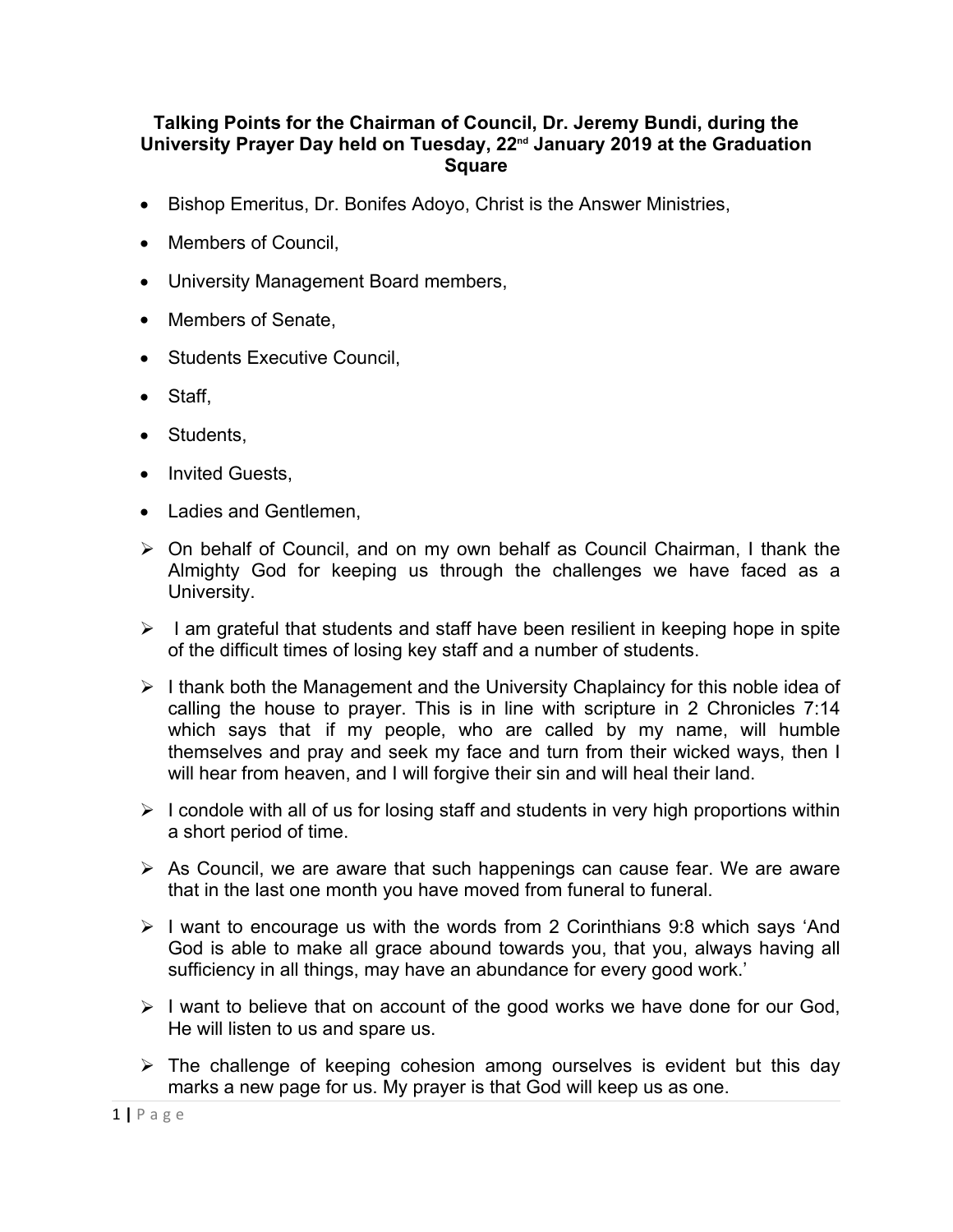## **Talking Points for the Chairman of Council, Dr. Jeremy Bundi, during the University Prayer Day held on Tuesday, 22nd January 2019 at the Graduation Square**

- Bishop Emeritus, Dr. Bonifes Adoyo, Christ is the Answer Ministries,
- Members of Council,
- University Management Board members,
- Members of Senate,
- Students Executive Council,
- Staff,
- Students,
- Invited Guests,
- Ladies and Gentlemen,
- $\triangleright$  On behalf of Council, and on my own behalf as Council Chairman, I thank the Almighty God for keeping us through the challenges we have faced as a University.
- $\triangleright$  I am grateful that students and staff have been resilient in keeping hope in spite of the difficult times of losing key staff and a number of students.
- $\triangleright$  I thank both the Management and the University Chaplaincy for this noble idea of calling the house to prayer. This is in line with scripture in 2 Chronicles 7:14 which says that if my people, who are called by my name, will humble themselves and pray and seek my face and turn from their wicked ways, then I will hear from heaven, and I will forgive their sin and will heal their land.
- $\triangleright$  I condole with all of us for losing staff and students in very high proportions within a short period of time.
- $\triangleright$  As Council, we are aware that such happenings can cause fear. We are aware that in the last one month you have moved from funeral to funeral.
- $\triangleright$  I want to encourage us with the words from 2 Corinthians 9:8 which says 'And God is able to make all grace abound towards you, that you, always having all sufficiency in all things, may have an abundance for every good work.'
- $\triangleright$  I want to believe that on account of the good works we have done for our God, He will listen to us and spare us.
- $\triangleright$  The challenge of keeping cohesion among ourselves is evident but this day marks a new page for us. My prayer is that God will keep us as one.